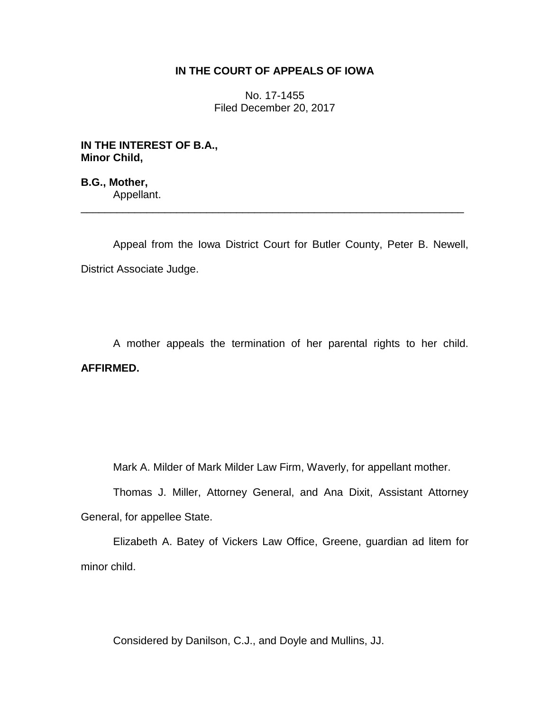## **IN THE COURT OF APPEALS OF IOWA**

No. 17-1455 Filed December 20, 2017

**IN THE INTEREST OF B.A., Minor Child,**

**B.G., Mother,** Appellant.

Appeal from the Iowa District Court for Butler County, Peter B. Newell, District Associate Judge.

\_\_\_\_\_\_\_\_\_\_\_\_\_\_\_\_\_\_\_\_\_\_\_\_\_\_\_\_\_\_\_\_\_\_\_\_\_\_\_\_\_\_\_\_\_\_\_\_\_\_\_\_\_\_\_\_\_\_\_\_\_\_\_\_

A mother appeals the termination of her parental rights to her child. **AFFIRMED.**

Mark A. Milder of Mark Milder Law Firm, Waverly, for appellant mother.

Thomas J. Miller, Attorney General, and Ana Dixit, Assistant Attorney General, for appellee State.

Elizabeth A. Batey of Vickers Law Office, Greene, guardian ad litem for minor child.

Considered by Danilson, C.J., and Doyle and Mullins, JJ.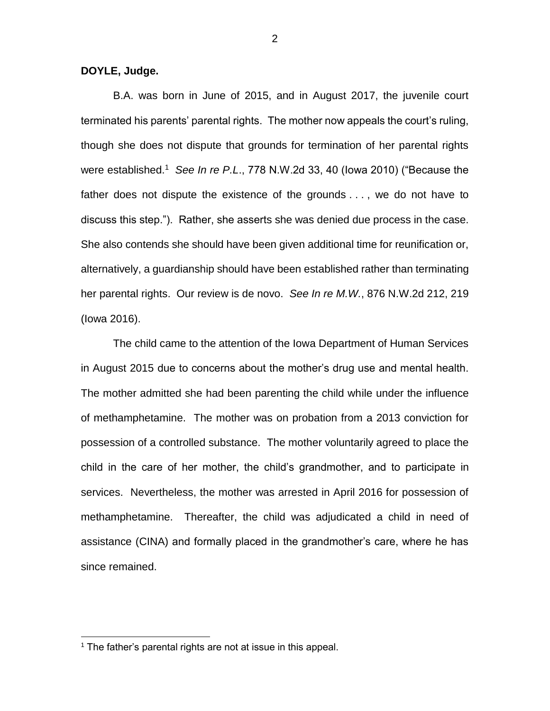**DOYLE, Judge.**

B.A. was born in June of 2015, and in August 2017, the juvenile court terminated his parents' parental rights. The mother now appeals the court's ruling, though she does not dispute that grounds for termination of her parental rights were established.<sup>1</sup> See In re P.L., 778 N.W.2d 33, 40 (lowa 2010) ("Because the father does not dispute the existence of the grounds . . . , we do not have to discuss this step."). Rather, she asserts she was denied due process in the case. She also contends she should have been given additional time for reunification or, alternatively, a guardianship should have been established rather than terminating her parental rights. Our review is de novo. *See In re M.W.*, 876 N.W.2d 212, 219 (Iowa 2016).

The child came to the attention of the Iowa Department of Human Services in August 2015 due to concerns about the mother's drug use and mental health. The mother admitted she had been parenting the child while under the influence of methamphetamine. The mother was on probation from a 2013 conviction for possession of a controlled substance. The mother voluntarily agreed to place the child in the care of her mother, the child's grandmother, and to participate in services. Nevertheless, the mother was arrested in April 2016 for possession of methamphetamine. Thereafter, the child was adjudicated a child in need of assistance (CINA) and formally placed in the grandmother's care, where he has since remained.

 $\overline{a}$ 

 $1$  The father's parental rights are not at issue in this appeal.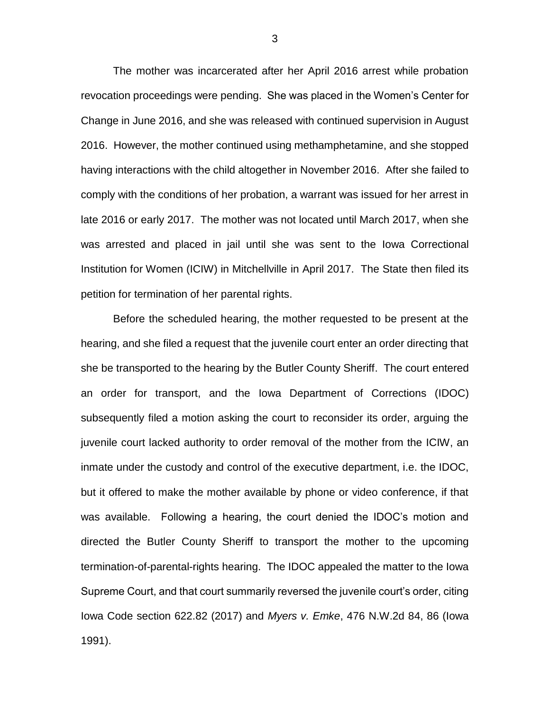The mother was incarcerated after her April 2016 arrest while probation revocation proceedings were pending. She was placed in the Women's Center for Change in June 2016, and she was released with continued supervision in August 2016. However, the mother continued using methamphetamine, and she stopped having interactions with the child altogether in November 2016. After she failed to comply with the conditions of her probation, a warrant was issued for her arrest in late 2016 or early 2017. The mother was not located until March 2017, when she was arrested and placed in jail until she was sent to the Iowa Correctional Institution for Women (ICIW) in Mitchellville in April 2017. The State then filed its petition for termination of her parental rights.

Before the scheduled hearing, the mother requested to be present at the hearing, and she filed a request that the juvenile court enter an order directing that she be transported to the hearing by the Butler County Sheriff. The court entered an order for transport, and the Iowa Department of Corrections (IDOC) subsequently filed a motion asking the court to reconsider its order, arguing the juvenile court lacked authority to order removal of the mother from the ICIW, an inmate under the custody and control of the executive department, i.e. the IDOC, but it offered to make the mother available by phone or video conference, if that was available. Following a hearing, the court denied the IDOC's motion and directed the Butler County Sheriff to transport the mother to the upcoming termination-of-parental-rights hearing. The IDOC appealed the matter to the Iowa Supreme Court, and that court summarily reversed the juvenile court's order, citing Iowa Code section 622.82 (2017) and *Myers v. Emke*, 476 N.W.2d 84, 86 (Iowa 1991).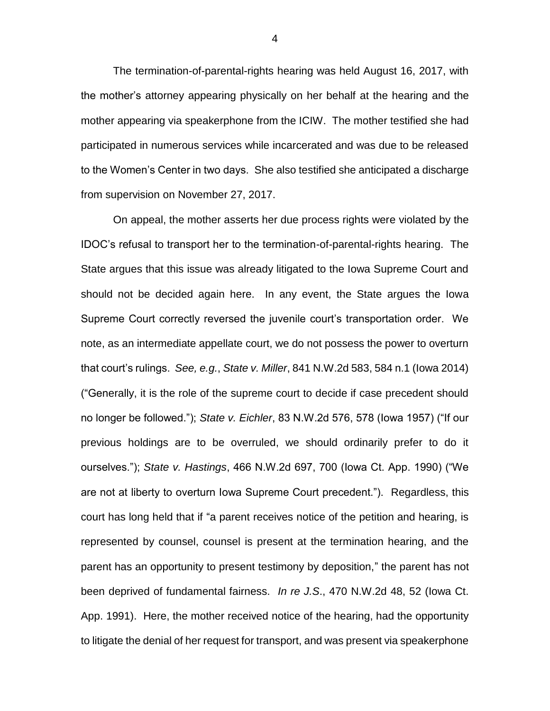The termination-of-parental-rights hearing was held August 16, 2017, with the mother's attorney appearing physically on her behalf at the hearing and the mother appearing via speakerphone from the ICIW. The mother testified she had participated in numerous services while incarcerated and was due to be released to the Women's Center in two days. She also testified she anticipated a discharge from supervision on November 27, 2017.

On appeal, the mother asserts her due process rights were violated by the IDOC's refusal to transport her to the termination-of-parental-rights hearing. The State argues that this issue was already litigated to the Iowa Supreme Court and should not be decided again here. In any event, the State argues the Iowa Supreme Court correctly reversed the juvenile court's transportation order. We note, as an intermediate appellate court, we do not possess the power to overturn that court's rulings. *See, e.g.*, *State v. Miller*, 841 N.W.2d 583, 584 n.1 (Iowa 2014) ("Generally, it is the role of the supreme court to decide if case precedent should no longer be followed."); *State v. Eichler*, 83 N.W.2d 576, 578 (Iowa 1957) ("If our previous holdings are to be overruled, we should ordinarily prefer to do it ourselves."); *State v. Hastings*, 466 N.W.2d 697, 700 (Iowa Ct. App. 1990) ("We are not at liberty to overturn Iowa Supreme Court precedent."). Regardless, this court has long held that if "a parent receives notice of the petition and hearing, is represented by counsel, counsel is present at the termination hearing, and the parent has an opportunity to present testimony by deposition," the parent has not been deprived of fundamental fairness. *In re J.S*., 470 N.W.2d 48, 52 (Iowa Ct. App. 1991). Here, the mother received notice of the hearing, had the opportunity to litigate the denial of her request for transport, and was present via speakerphone

4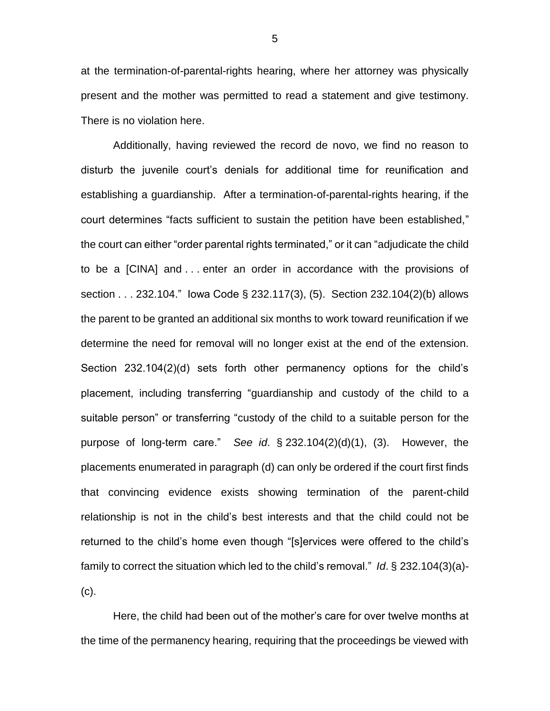at the termination-of-parental-rights hearing, where her attorney was physically present and the mother was permitted to read a statement and give testimony. There is no violation here.

Additionally, having reviewed the record de novo, we find no reason to disturb the juvenile court's denials for additional time for reunification and establishing a guardianship. After a termination-of-parental-rights hearing, if the court determines "facts sufficient to sustain the petition have been established," the court can either "order parental rights terminated," or it can "adjudicate the child to be a [CINA] and . . . enter an order in accordance with the provisions of section . . . 232.104." Iowa Code § 232.117(3), (5). Section 232.104(2)(b) allows the parent to be granted an additional six months to work toward reunification if we determine the need for removal will no longer exist at the end of the extension. Section 232.104(2)(d) sets forth other permanency options for the child's placement, including transferring "guardianship and custody of the child to a suitable person" or transferring "custody of the child to a suitable person for the purpose of long-term care." *See id*. § 232.104(2)(d)(1), (3). However, the placements enumerated in paragraph (d) can only be ordered if the court first finds that convincing evidence exists showing termination of the parent-child relationship is not in the child's best interests and that the child could not be returned to the child's home even though "[s]ervices were offered to the child's family to correct the situation which led to the child's removal." *Id*. § 232.104(3)(a)- (c).

Here, the child had been out of the mother's care for over twelve months at the time of the permanency hearing, requiring that the proceedings be viewed with

5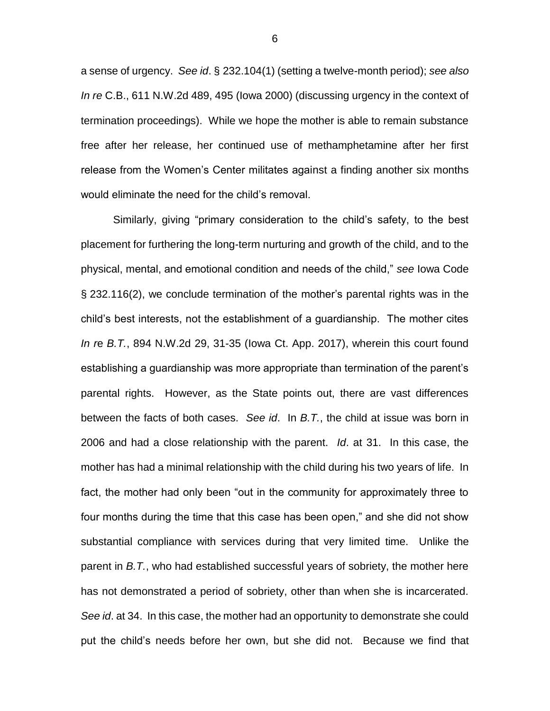a sense of urgency. *See id*. § 232.104(1) (setting a twelve-month period); *see also In re* C.B., 611 N.W.2d 489, 495 (Iowa 2000) (discussing urgency in the context of termination proceedings). While we hope the mother is able to remain substance free after her release, her continued use of methamphetamine after her first release from the Women's Center militates against a finding another six months would eliminate the need for the child's removal.

Similarly, giving "primary consideration to the child's safety, to the best placement for furthering the long-term nurturing and growth of the child, and to the physical, mental, and emotional condition and needs of the child," *see* Iowa Code § 232.116(2), we conclude termination of the mother's parental rights was in the child's best interests, not the establishment of a guardianship. The mother cites *In r*e *B.T.*, 894 N.W.2d 29, 31-35 (Iowa Ct. App. 2017), wherein this court found establishing a guardianship was more appropriate than termination of the parent's parental rights. However, as the State points out, there are vast differences between the facts of both cases. *See id*. In *B.T.*, the child at issue was born in 2006 and had a close relationship with the parent. *Id*. at 31. In this case, the mother has had a minimal relationship with the child during his two years of life. In fact, the mother had only been "out in the community for approximately three to four months during the time that this case has been open," and she did not show substantial compliance with services during that very limited time. Unlike the parent in *B.T.*, who had established successful years of sobriety, the mother here has not demonstrated a period of sobriety, other than when she is incarcerated. *See id*. at 34. In this case, the mother had an opportunity to demonstrate she could put the child's needs before her own, but she did not. Because we find that